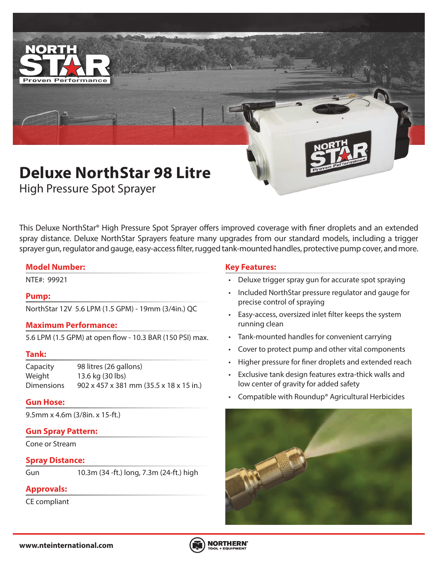

High Pressure Spot Sprayer

This Deluxe NorthStar® High Pressure Spot Sprayer offers improved coverage with finer droplets and an extended spray distance. Deluxe NorthStar Sprayers feature many upgrades from our standard models, including a trigger sprayer gun, regulator and gauge, easy-access filter, rugged tank-mounted handles, protective pump cover, and more.

### **Model Number:**

# **Pump:**

NorthStar 12V 5.6 LPM (1.5 GPM) - 19mm (3/4in.) QC

### **Maximum Performance:**

5.6 LPM (1.5 GPM) at open flow - 10.3 BAR (150 PSI) max.

### **Tank:**

Capacity 98 litres (26 gallons) Weight 13.6 kg (30 lbs) Dimensions 902 x 457 x 381 mm (35.5 x 18 x 15 in.)

### **Gun Hose:**

9.5mm x 4.6m (3/8in. x 15-ft.)

# **Gun Spray Pattern:**

Cone or Stream

### **Spray Distance:**

Gun 10.3m (34 -ft.) long, 7.3m (24-ft.) high

# **Approvals:**

CE compliant

### **Key Features:**

- NTE#: 99921 Deluxe trigger spray gun for accurate spot spraying
	- Included NorthStar pressure regulator and gauge for precise control of spraying
	- Easy-access, oversized inlet filter keeps the system running clean
	- Tank-mounted handles for convenient carrying
	- Cover to protect pump and other vital components
	- Higher pressure for finer droplets and extended reach
	- Exclusive tank design features extra-thick walls and low center of gravity for added safety
	- Compatible with Roundup® Agricultural Herbicides